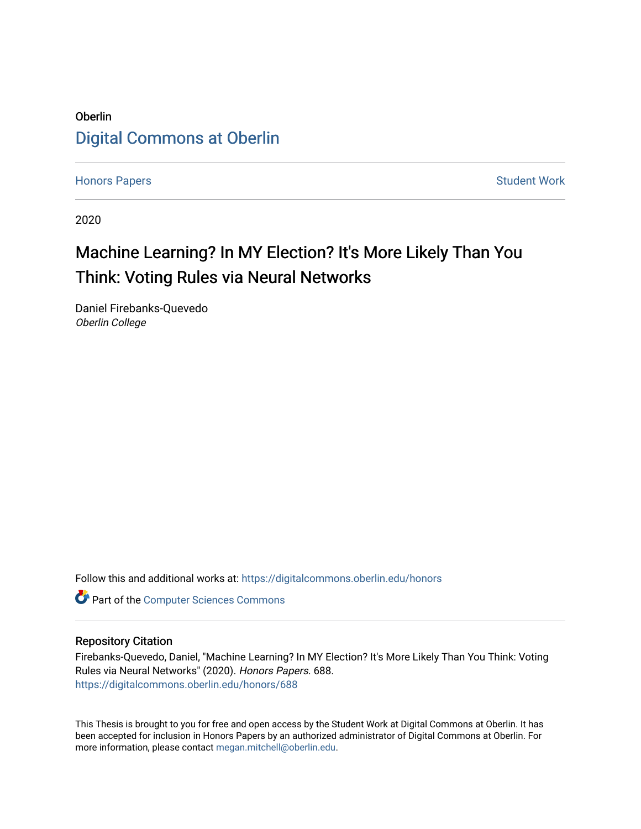# Oberlin [Digital Commons at Oberlin](https://digitalcommons.oberlin.edu/)

[Honors Papers](https://digitalcommons.oberlin.edu/honors) **Student Work** [Student Work](https://digitalcommons.oberlin.edu/students) **Student Work** Student Work **Student Work** 

2020

# Machine Learning? In MY Election? It's More Likely Than You Think: Voting Rules via Neural Networks

Daniel Firebanks-Quevedo Oberlin College

Follow this and additional works at: [https://digitalcommons.oberlin.edu/honors](https://digitalcommons.oberlin.edu/honors?utm_source=digitalcommons.oberlin.edu%2Fhonors%2F688&utm_medium=PDF&utm_campaign=PDFCoverPages) 

**Part of the [Computer Sciences Commons](http://network.bepress.com/hgg/discipline/142?utm_source=digitalcommons.oberlin.edu%2Fhonors%2F688&utm_medium=PDF&utm_campaign=PDFCoverPages)** 

## Repository Citation

Firebanks-Quevedo, Daniel, "Machine Learning? In MY Election? It's More Likely Than You Think: Voting Rules via Neural Networks" (2020). Honors Papers. 688. [https://digitalcommons.oberlin.edu/honors/688](https://digitalcommons.oberlin.edu/honors/688?utm_source=digitalcommons.oberlin.edu%2Fhonors%2F688&utm_medium=PDF&utm_campaign=PDFCoverPages) 

This Thesis is brought to you for free and open access by the Student Work at Digital Commons at Oberlin. It has been accepted for inclusion in Honors Papers by an authorized administrator of Digital Commons at Oberlin. For more information, please contact [megan.mitchell@oberlin.edu.](mailto:megan.mitchell@oberlin.edu)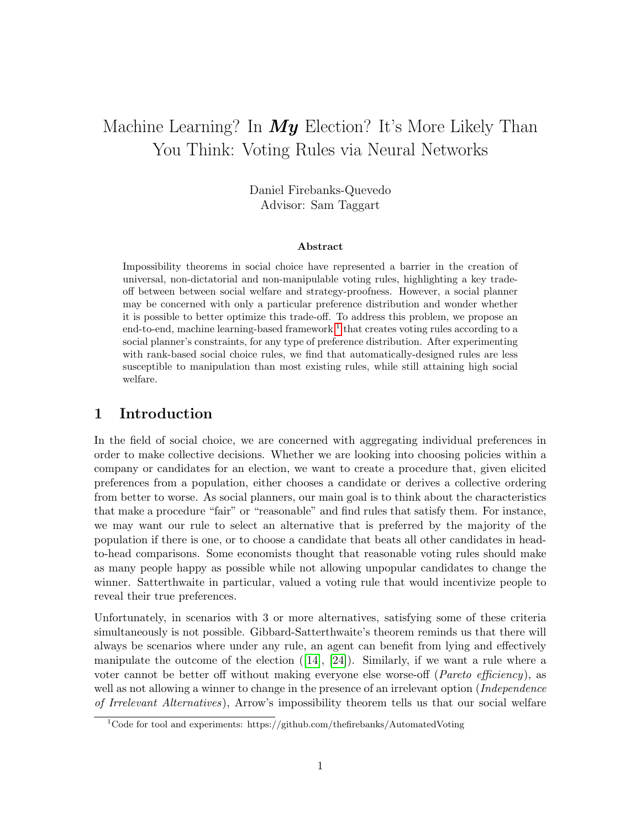# Machine Learning? In  $My$  Election? It's More Likely Than You Think: Voting Rules via Neural Networks

Daniel Firebanks-Quevedo Advisor: Sam Taggart

#### Abstract

Impossibility theorems in social choice have represented a barrier in the creation of universal, non-dictatorial and non-manipulable voting rules, highlighting a key tradeoff between between social welfare and strategy-proofness. However, a social planner may be concerned with only a particular preference distribution and wonder whether it is possible to better optimize this trade-off. To address this problem, we propose an end-to-end, machine learning-based framework  $<sup>1</sup>$  $<sup>1</sup>$  $<sup>1</sup>$  that creates voting rules according to a</sup> social planner's constraints, for any type of preference distribution. After experimenting with rank-based social choice rules, we find that automatically-designed rules are less susceptible to manipulation than most existing rules, while still attaining high social welfare.

# 1 Introduction

In the field of social choice, we are concerned with aggregating individual preferences in order to make collective decisions. Whether we are looking into choosing policies within a company or candidates for an election, we want to create a procedure that, given elicited preferences from a population, either chooses a candidate or derives a collective ordering from better to worse. As social planners, our main goal is to think about the characteristics that make a procedure "fair" or "reasonable" and find rules that satisfy them. For instance, we may want our rule to select an alternative that is preferred by the majority of the population if there is one, or to choose a candidate that beats all other candidates in headto-head comparisons. Some economists thought that reasonable voting rules should make as many people happy as possible while not allowing unpopular candidates to change the winner. Satterthwaite in particular, valued a voting rule that would incentivize people to reveal their true preferences.

Unfortunately, in scenarios with 3 or more alternatives, satisfying some of these criteria simultaneously is not possible. Gibbard-Satterthwaite's theorem reminds us that there will always be scenarios where under any rule, an agent can benefit from lying and effectively manipulate the outcome of the election  $([14], [24])$  $([14], [24])$  $([14], [24])$  $([14], [24])$  $([14], [24])$ . Similarly, if we want a rule where a voter cannot be better off without making everyone else worse-off (Pareto efficiency), as well as not allowing a winner to change in the presence of an irrelevant option (*Independence* of Irrelevant Alternatives), Arrow's impossibility theorem tells us that our social welfare

<span id="page-1-0"></span><sup>&</sup>lt;sup>1</sup>Code for tool and experiments: https://github.com/thefirebanks/AutomatedVoting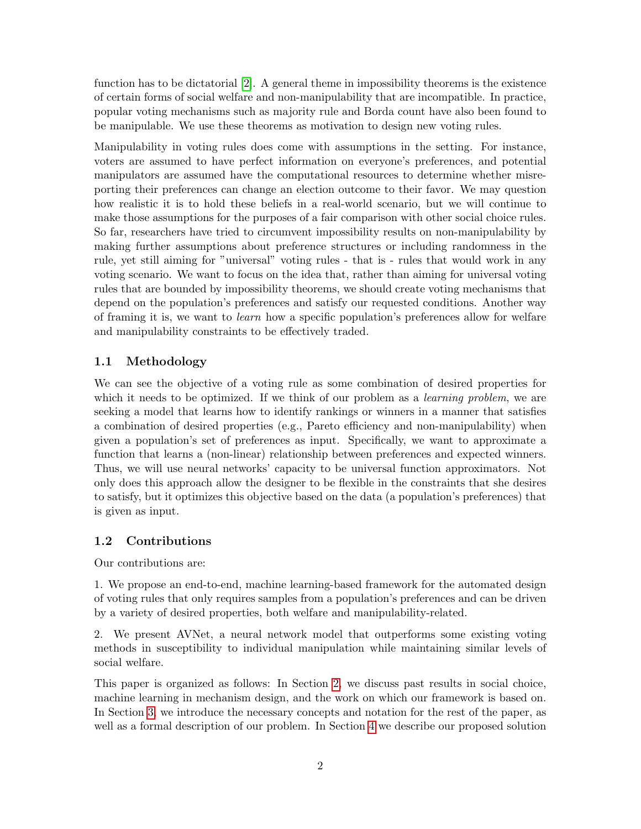function has to be dictatorial [\[2\]](#page-16-0). A general theme in impossibility theorems is the existence of certain forms of social welfare and non-manipulability that are incompatible. In practice, popular voting mechanisms such as majority rule and Borda count have also been found to be manipulable. We use these theorems as motivation to design new voting rules.

Manipulability in voting rules does come with assumptions in the setting. For instance, voters are assumed to have perfect information on everyone's preferences, and potential manipulators are assumed have the computational resources to determine whether misreporting their preferences can change an election outcome to their favor. We may question how realistic it is to hold these beliefs in a real-world scenario, but we will continue to make those assumptions for the purposes of a fair comparison with other social choice rules. So far, researchers have tried to circumvent impossibility results on non-manipulability by making further assumptions about preference structures or including randomness in the rule, yet still aiming for "universal" voting rules - that is - rules that would work in any voting scenario. We want to focus on the idea that, rather than aiming for universal voting rules that are bounded by impossibility theorems, we should create voting mechanisms that depend on the population's preferences and satisfy our requested conditions. Another way of framing it is, we want to learn how a specific population's preferences allow for welfare and manipulability constraints to be effectively traded.

## <span id="page-2-0"></span>1.1 Methodology

We can see the objective of a voting rule as some combination of desired properties for which it needs to be optimized. If we think of our problem as a *learning problem*, we are seeking a model that learns how to identify rankings or winners in a manner that satisfies a combination of desired properties (e.g., Pareto efficiency and non-manipulability) when given a population's set of preferences as input. Specifically, we want to approximate a function that learns a (non-linear) relationship between preferences and expected winners. Thus, we will use neural networks' capacity to be universal function approximators. Not only does this approach allow the designer to be flexible in the constraints that she desires to satisfy, but it optimizes this objective based on the data (a population's preferences) that is given as input.

### 1.2 Contributions

Our contributions are:

1. We propose an end-to-end, machine learning-based framework for the automated design of voting rules that only requires samples from a population's preferences and can be driven by a variety of desired properties, both welfare and manipulability-related.

2. We present AVNet, a neural network model that outperforms some existing voting methods in susceptibility to individual manipulation while maintaining similar levels of social welfare.

This paper is organized as follows: In Section [2,](#page-3-0) we discuss past results in social choice, machine learning in mechanism design, and the work on which our framework is based on. In Section [3,](#page-4-0) we introduce the necessary concepts and notation for the rest of the paper, as well as a formal description of our problem. In Section [4](#page-7-0) we describe our proposed solution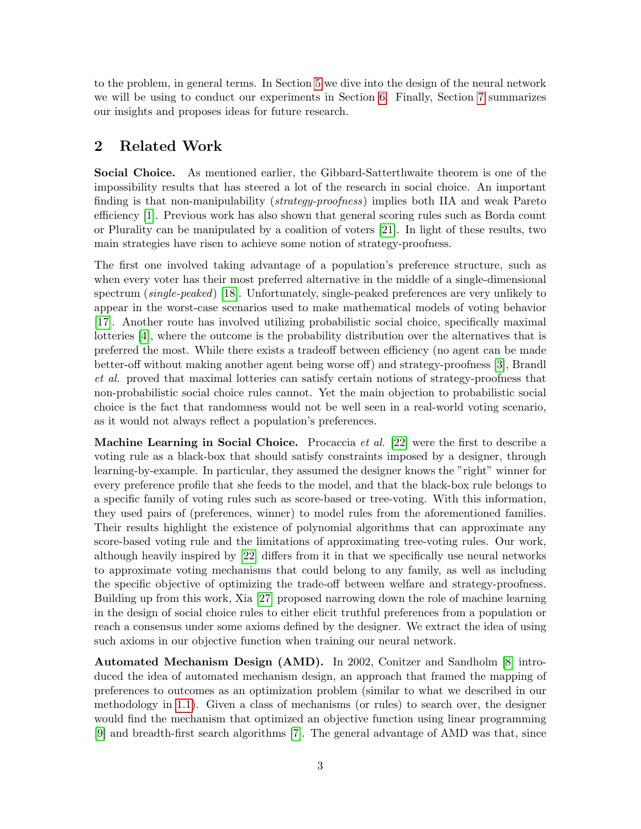to the problem, in general terms. In Section [5](#page-8-0) we dive into the design of the neural network we will be using to conduct our experiments in Section [6.](#page-11-0) Finally, Section [7](#page-14-0) summarizes our insights and proposes ideas for future research.

# <span id="page-3-0"></span>2 Related Work

Social Choice. As mentioned earlier, the Gibbard-Satterthwaite theorem is one of the impossibility results that has steered a lot of the research in social choice. An important finding is that non-manipulability *(strategy-proofness)* implies both IIA and weak Pareto efficiency [\[1\]](#page-16-1). Previous work has also shown that general scoring rules such as Borda count or Plurality can be manipulated by a coalition of voters [\[21\]](#page-17-2). In light of these results, two main strategies have risen to achieve some notion of strategy-proofness.

The first one involved taking advantage of a population's preference structure, such as when every voter has their most preferred alternative in the middle of a single-dimensional spectrum (single-peaked) [\[18\]](#page-17-3). Unfortunately, single-peaked preferences are very unlikely to appear in the worst-case scenarios used to make mathematical models of voting behavior [\[17\]](#page-17-4). Another route has involved utilizing probabilistic social choice, specifically maximal lotteries [\[4\]](#page-16-2), where the outcome is the probability distribution over the alternatives that is preferred the most. While there exists a tradeoff between efficiency (no agent can be made better-off without making another agent being worse off) and strategy-proofness [\[3\]](#page-16-3), Brandl et al. proved that maximal lotteries can satisfy certain notions of strategy-proofness that non-probabilistic social choice rules cannot. Yet the main objection to probabilistic social choice is the fact that randomness would not be well seen in a real-world voting scenario, as it would not always reflect a population's preferences.

**Machine Learning in Social Choice.** Procaccia *et al.* [\[22\]](#page-17-5) were the first to describe a voting rule as a black-box that should satisfy constraints imposed by a designer, through learning-by-example. In particular, they assumed the designer knows the "right" winner for every preference profile that she feeds to the model, and that the black-box rule belongs to a specific family of voting rules such as score-based or tree-voting. With this information, they used pairs of (preferences, winner) to model rules from the aforementioned families. Their results highlight the existence of polynomial algorithms that can approximate any score-based voting rule and the limitations of approximating tree-voting rules. Our work, although heavily inspired by [\[22\]](#page-17-5) differs from it in that we specifically use neural networks to approximate voting mechanisms that could belong to any family, as well as including the specific objective of optimizing the trade-off between welfare and strategy-proofness. Building up from this work, Xia [\[27\]](#page-18-0) proposed narrowing down the role of machine learning in the design of social choice rules to either elicit truthful preferences from a population or reach a consensus under some axioms defined by the designer. We extract the idea of using such axioms in our objective function when training our neural network.

Automated Mechanism Design (AMD). In 2002, Conitzer and Sandholm [\[8\]](#page-16-4) introduced the idea of automated mechanism design, an approach that framed the mapping of preferences to outcomes as an optimization problem (similar to what we described in our methodology in [1.1\)](#page-2-0). Given a class of mechanisms (or rules) to search over, the designer would find the mechanism that optimized an objective function using linear programming [\[9\]](#page-16-5) and breadth-first search algorithms [\[7\]](#page-16-6). The general advantage of AMD was that, since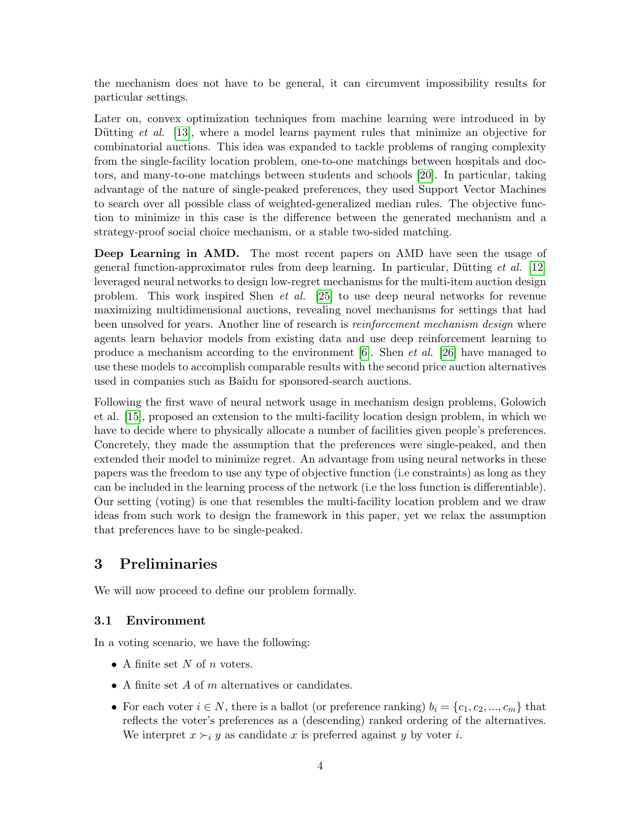the mechanism does not have to be general, it can circumvent impossibility results for particular settings.

Later on, convex optimization techniques from machine learning were introduced in by Dütting *et al.* [\[13\]](#page-16-7), where a model learns payment rules that minimize an objective for combinatorial auctions. This idea was expanded to tackle problems of ranging complexity from the single-facility location problem, one-to-one matchings between hospitals and doctors, and many-to-one matchings between students and schools [\[20\]](#page-17-6). In particular, taking advantage of the nature of single-peaked preferences, they used Support Vector Machines to search over all possible class of weighted-generalized median rules. The objective function to minimize in this case is the difference between the generated mechanism and a strategy-proof social choice mechanism, or a stable two-sided matching.

Deep Learning in AMD. The most recent papers on AMD have seen the usage of general function-approximator rules from deep learning. In particular, Dütting *et al.* [\[12\]](#page-16-8) leveraged neural networks to design low-regret mechanisms for the multi-item auction design problem. This work inspired Shen et al. [\[25\]](#page-17-7) to use deep neural networks for revenue maximizing multidimensional auctions, revealing novel mechanisms for settings that had been unsolved for years. Another line of research is *reinforcement mechanism design* where agents learn behavior models from existing data and use deep reinforcement learning to produce a mechanism according to the environment [\[6\]](#page-16-9). Shen *et al.* [\[26\]](#page-17-8) have managed to use these models to accomplish comparable results with the second price auction alternatives used in companies such as Baidu for sponsored-search auctions.

Following the first wave of neural network usage in mechanism design problems, Golowich et al. [\[15\]](#page-17-9), proposed an extension to the multi-facility location design problem, in which we have to decide where to physically allocate a number of facilities given people's preferences. Concretely, they made the assumption that the preferences were single-peaked, and then extended their model to minimize regret. An advantage from using neural networks in these papers was the freedom to use any type of objective function (i.e constraints) as long as they can be included in the learning process of the network (i.e the loss function is differentiable). Our setting (voting) is one that resembles the multi-facility location problem and we draw ideas from such work to design the framework in this paper, yet we relax the assumption that preferences have to be single-peaked.

## <span id="page-4-0"></span>3 Preliminaries

We will now proceed to define our problem formally.

### 3.1 Environment

In a voting scenario, we have the following:

- A finite set N of n voters.
- A finite set  $A$  of  $m$  alternatives or candidates.
- For each voter  $i \in N$ , there is a ballot (or preference ranking)  $b_i = \{c_1, c_2, ..., c_m\}$  that reflects the voter's preferences as a (descending) ranked ordering of the alternatives. We interpret  $x \succ_i y$  as candidate x is preferred against y by voter i.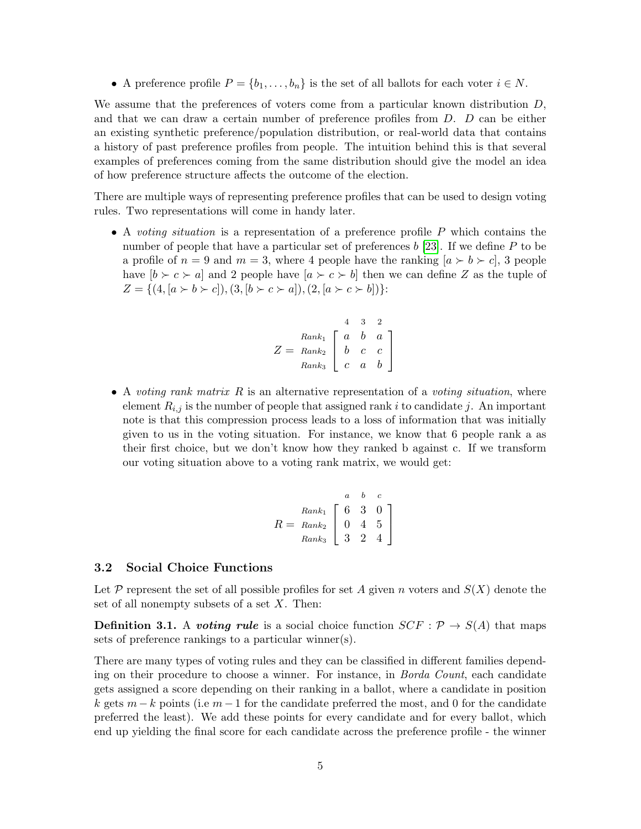• A preference profile  $P = \{b_1, \ldots, b_n\}$  is the set of all ballots for each voter  $i \in N$ .

We assume that the preferences of voters come from a particular known distribution D, and that we can draw a certain number of preference profiles from D. D can be either an existing synthetic preference/population distribution, or real-world data that contains a history of past preference profiles from people. The intuition behind this is that several examples of preferences coming from the same distribution should give the model an idea of how preference structure affects the outcome of the election.

There are multiple ways of representing preference profiles that can be used to design voting rules. Two representations will come in handy later.

• A voting situation is a representation of a preference profile  $P$  which contains the number of people that have a particular set of preferences b [\[23\]](#page-17-10). If we define P to be a profile of  $n = 9$  and  $m = 3$ , where 4 people have the ranking  $[a \succ b \succ c]$ , 3 people have  $[b \succ c \succ a]$  and 2 people have  $[a \succ c \succ b]$  then we can define Z as the tuple of  $Z = \{(4, [a \succ b \succ c]), (3, [b \succ c \succ a]), (2, [a \succ c \succ b])\}.$ 

$$
Z = \begin{array}{cc} & 4 & 3 & 2 \\ Rank_1 & a & b & a \\ Rank_2 & b & c & c \\ Rank_3 & c & a & b \end{array}
$$

• A voting rank matrix  $R$  is an alternative representation of a voting situation, where element  $R_{i,j}$  is the number of people that assigned rank i to candidate j. An important note is that this compression process leads to a loss of information that was initially given to us in the voting situation. For instance, we know that 6 people rank a as their first choice, but we don't know how they ranked b against c. If we transform our voting situation above to a voting rank matrix, we would get:

$$
R = \begin{array}{c c c c} & a & b & c \\ & R a n k_1 & 6 & 3 & 0 \\ & R a n k_2 & 0 & 4 & 5 \\ & R a n k_3 & 3 & 2 & 4 \end{array}
$$

### 3.2 Social Choice Functions

Let P represent the set of all possible profiles for set A given n voters and  $S(X)$  denote the set of all nonempty subsets of a set  $X$ . Then:

**Definition 3.1.** A *voting rule* is a social choice function  $SCF : \mathcal{P} \rightarrow S(A)$  that maps sets of preference rankings to a particular winner(s).

There are many types of voting rules and they can be classified in different families depending on their procedure to choose a winner. For instance, in *Borda Count*, each candidate gets assigned a score depending on their ranking in a ballot, where a candidate in position k gets  $m - k$  points (i.e  $m - 1$  for the candidate preferred the most, and 0 for the candidate preferred the least). We add these points for every candidate and for every ballot, which end up yielding the final score for each candidate across the preference profile - the winner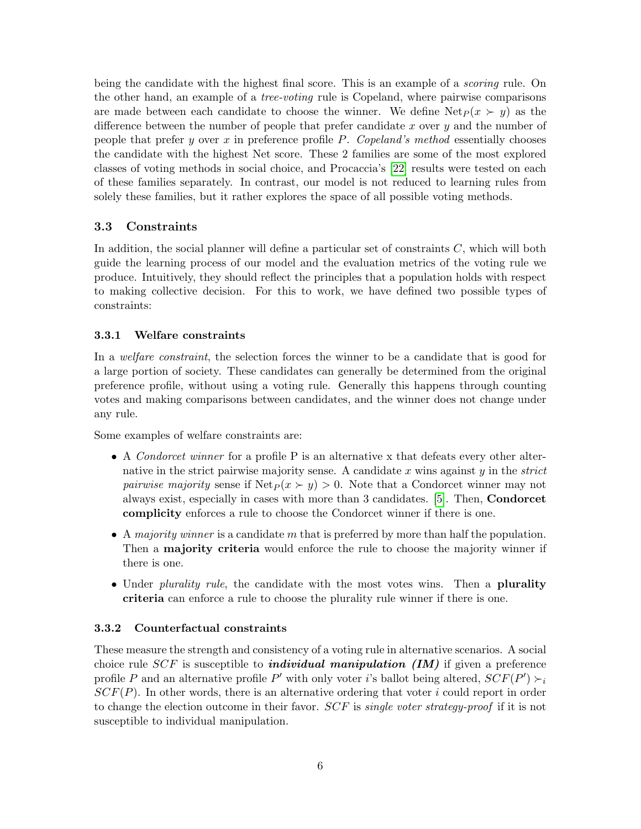being the candidate with the highest final score. This is an example of a *scoring* rule. On the other hand, an example of a *tree-voting* rule is Copeland, where pairwise comparisons are made between each candidate to choose the winner. We define  $\text{Net}_P (x \succ y)$  as the difference between the number of people that prefer candidate  $x$  over  $y$  and the number of people that prefer y over x in preference profile P. Copeland's method essentially chooses the candidate with the highest Net score. These 2 families are some of the most explored classes of voting methods in social choice, and Procaccia's [\[22\]](#page-17-5) results were tested on each of these families separately. In contrast, our model is not reduced to learning rules from solely these families, but it rather explores the space of all possible voting methods.

### 3.3 Constraints

In addition, the social planner will define a particular set of constraints  $C$ , which will both guide the learning process of our model and the evaluation metrics of the voting rule we produce. Intuitively, they should reflect the principles that a population holds with respect to making collective decision. For this to work, we have defined two possible types of constraints:

### 3.3.1 Welfare constraints

In a *welfare constraint*, the selection forces the winner to be a candidate that is good for a large portion of society. These candidates can generally be determined from the original preference profile, without using a voting rule. Generally this happens through counting votes and making comparisons between candidates, and the winner does not change under any rule.

Some examples of welfare constraints are:

- A Condorcet winner for a profile P is an alternative x that defeats every other alternative in the strict pairwise majority sense. A candidate  $x$  wins against  $y$  in the *strict pairwise majority* sense if  $\text{Net}_P(x \succ y) > 0$ . Note that a Condorcet winner may not always exist, especially in cases with more than 3 candidates. [\[5\]](#page-16-10). Then, Condorcet complicity enforces a rule to choose the Condorcet winner if there is one.
- A majority winner is a candidate m that is preferred by more than half the population. Then a **majority criteria** would enforce the rule to choose the majority winner if there is one.
- Under *plurality rule*, the candidate with the most votes wins. Then a **plurality** criteria can enforce a rule to choose the plurality rule winner if there is one.

### 3.3.2 Counterfactual constraints

These measure the strength and consistency of a voting rule in alternative scenarios. A social choice rule  $SCF$  is susceptible to *individual manipulation (IM)* if given a preference profile P and an alternative profile P' with only voter i's ballot being altered,  $SCF(P') > i$  $SCF(P)$ . In other words, there is an alternative ordering that voter i could report in order to change the election outcome in their favor.  $SCF$  is single voter strategy-proof if it is not susceptible to individual manipulation.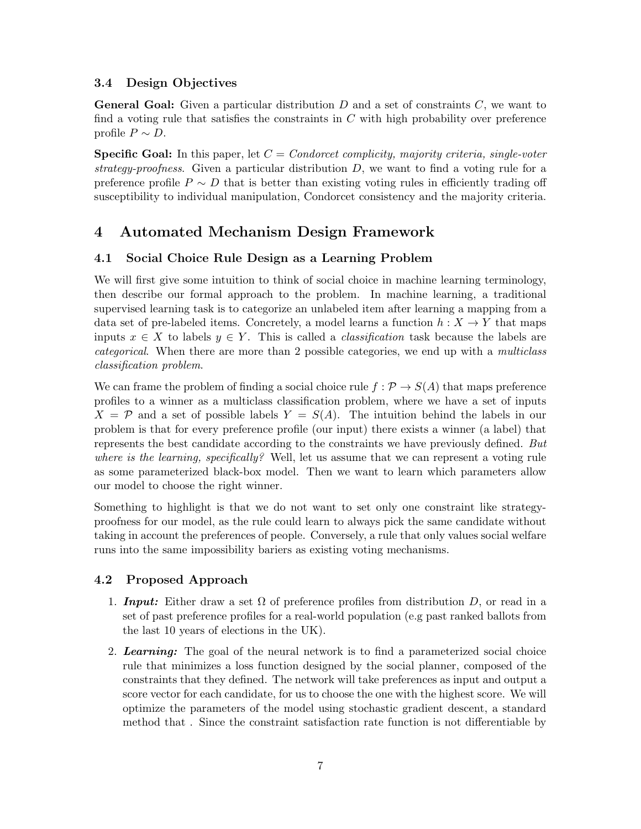### 3.4 Design Objectives

**General Goal:** Given a particular distribution  $D$  and a set of constraints  $C$ , we want to find a voting rule that satisfies the constraints in  $C$  with high probability over preference profile  $P \sim D$ .

**Specific Goal:** In this paper, let  $C = Condorcet$  complicity, majority criteria, single-voter strategy-proofness. Given a particular distribution  $D$ , we want to find a voting rule for a preference profile  $P \sim D$  that is better than existing voting rules in efficiently trading off susceptibility to individual manipulation, Condorcet consistency and the majority criteria.

# <span id="page-7-0"></span>4 Automated Mechanism Design Framework

## 4.1 Social Choice Rule Design as a Learning Problem

We will first give some intuition to think of social choice in machine learning terminology, then describe our formal approach to the problem. In machine learning, a traditional supervised learning task is to categorize an unlabeled item after learning a mapping from a data set of pre-labeled items. Concretely, a model learns a function  $h: X \to Y$  that maps inputs  $x \in X$  to labels  $y \in Y$ . This is called a *classification* task because the labels are categorical. When there are more than 2 possible categories, we end up with a multiclass classification problem.

We can frame the problem of finding a social choice rule  $f : \mathcal{P} \to S(A)$  that maps preference profiles to a winner as a multiclass classification problem, where we have a set of inputs  $X = \mathcal{P}$  and a set of possible labels  $Y = S(A)$ . The intuition behind the labels in our problem is that for every preference profile (our input) there exists a winner (a label) that represents the best candidate according to the constraints we have previously defined. But where is the learning, specifically? Well, let us assume that we can represent a voting rule as some parameterized black-box model. Then we want to learn which parameters allow our model to choose the right winner.

Something to highlight is that we do not want to set only one constraint like strategyproofness for our model, as the rule could learn to always pick the same candidate without taking in account the preferences of people. Conversely, a rule that only values social welfare runs into the same impossibility bariers as existing voting mechanisms.

## 4.2 Proposed Approach

- 1. **Input:** Either draw a set  $\Omega$  of preference profiles from distribution D, or read in a set of past preference profiles for a real-world population (e.g past ranked ballots from the last 10 years of elections in the UK).
- 2. Learning: The goal of the neural network is to find a parameterized social choice rule that minimizes a loss function designed by the social planner, composed of the constraints that they defined. The network will take preferences as input and output a score vector for each candidate, for us to choose the one with the highest score. We will optimize the parameters of the model using stochastic gradient descent, a standard method that . Since the constraint satisfaction rate function is not differentiable by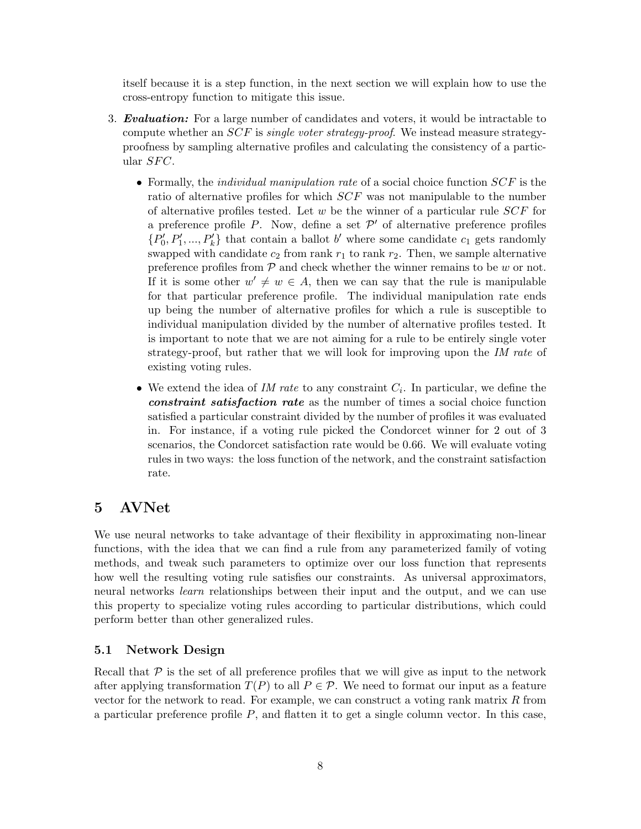itself because it is a step function, in the next section we will explain how to use the cross-entropy function to mitigate this issue.

- 3. **Evaluation:** For a large number of candidates and voters, it would be intractable to compute whether an  $SCF$  is *single voter strategy-proof.* We instead measure strategyproofness by sampling alternative profiles and calculating the consistency of a particular  $SFC$ .
	- Formally, the *individual manipulation rate* of a social choice function  $SCF$  is the ratio of alternative profiles for which SCF was not manipulable to the number of alternative profiles tested. Let w be the winner of a particular rule  $SCF$  for a preference profile P. Now, define a set  $\mathcal{P}'$  of alternative preference profiles  $\{P'_0, P'_1, ..., P'_k\}$  that contain a ballot b' where some candidate  $c_1$  gets randomly swapped with candidate  $c_2$  from rank  $r_1$  to rank  $r_2$ . Then, we sample alternative preference profiles from  $P$  and check whether the winner remains to be w or not. If it is some other  $w' \neq w \in A$ , then we can say that the rule is manipulable for that particular preference profile. The individual manipulation rate ends up being the number of alternative profiles for which a rule is susceptible to individual manipulation divided by the number of alternative profiles tested. It is important to note that we are not aiming for a rule to be entirely single voter strategy-proof, but rather that we will look for improving upon the IM rate of existing voting rules.
	- We extend the idea of  $IM$  rate to any constraint  $C_i$ . In particular, we define the constraint satisfaction rate as the number of times a social choice function satisfied a particular constraint divided by the number of profiles it was evaluated in. For instance, if a voting rule picked the Condorcet winner for 2 out of 3 scenarios, the Condorcet satisfaction rate would be 0.66. We will evaluate voting rules in two ways: the loss function of the network, and the constraint satisfaction rate.

# <span id="page-8-0"></span>5 AVNet

We use neural networks to take advantage of their flexibility in approximating non-linear functions, with the idea that we can find a rule from any parameterized family of voting methods, and tweak such parameters to optimize over our loss function that represents how well the resulting voting rule satisfies our constraints. As universal approximators, neural networks *learn* relationships between their input and the output, and we can use this property to specialize voting rules according to particular distributions, which could perform better than other generalized rules.

### 5.1 Network Design

Recall that  $\mathcal P$  is the set of all preference profiles that we will give as input to the network after applying transformation  $T(P)$  to all  $P \in \mathcal{P}$ . We need to format our input as a feature vector for the network to read. For example, we can construct a voting rank matrix  $R$  from a particular preference profile  $P$ , and flatten it to get a single column vector. In this case,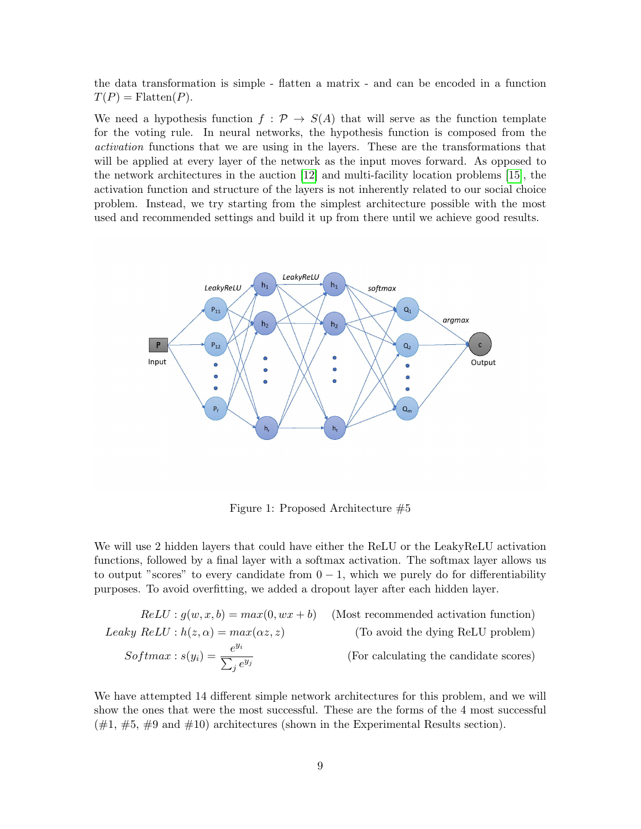the data transformation is simple - flatten a matrix - and can be encoded in a function  $T(P) = \text{Flatten}(P).$ 

We need a hypothesis function  $f : \mathcal{P} \to S(A)$  that will serve as the function template for the voting rule. In neural networks, the hypothesis function is composed from the activation functions that we are using in the layers. These are the transformations that will be applied at every layer of the network as the input moves forward. As opposed to the network architectures in the auction [\[12\]](#page-16-8) and multi-facility location problems [\[15\]](#page-17-9), the activation function and structure of the layers is not inherently related to our social choice problem. Instead, we try starting from the simplest architecture possible with the most used and recommended settings and build it up from there until we achieve good results.



Figure 1: Proposed Architecture #5

We will use 2 hidden layers that could have either the ReLU or the LeakyReLU activation functions, followed by a final layer with a softmax activation. The softmax layer allows us to output "scores" to every candidate from  $0 - 1$ , which we purely do for differentiability purposes. To avoid overfitting, we added a dropout layer after each hidden layer.

*ReLU* : 
$$
g(w, x, b) = max(0, wx + b)
$$
 (Most recommended activation function)  
\n*Leaky ReLU* :  $h(z, \alpha) = max(\alpha z, z)$  (To avoid the dying ReLU problem)  
\n*Softmax* :  $s(y_i) = \frac{e^{y_i}}{\sum_j e^{y_j}}$  (For calculating the candidate scores)

We have attempted 14 different simple network architectures for this problem, and we will show the ones that were the most successful. These are the forms of the 4 most successful  $(\#1, \#5, \#9 \text{ and } \#10)$  architectures (shown in the Experimental Results section).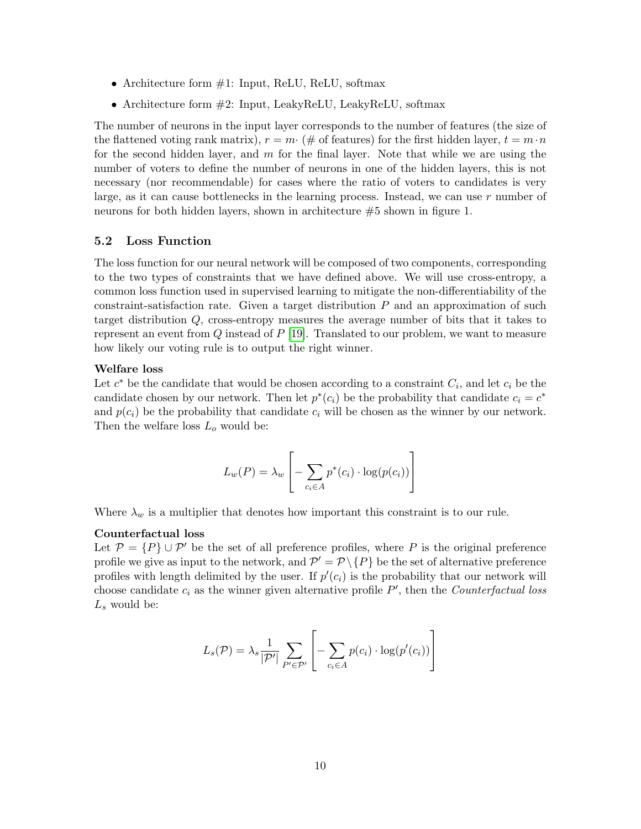- Architecture form #1: Input, ReLU, ReLU, softmax
- Architecture form  $#2$ : Input, LeakyReLU, LeakyReLU, softmax

The number of neurons in the input layer corresponds to the number of features (the size of the flattened voting rank matrix),  $r = m \cdot (\# \text{ of features})$  for the first hidden layer,  $t = m \cdot n$ for the second hidden layer, and  $m$  for the final layer. Note that while we are using the number of voters to define the number of neurons in one of the hidden layers, this is not necessary (nor recommendable) for cases where the ratio of voters to candidates is very large, as it can cause bottlenecks in the learning process. Instead, we can use  $r$  number of neurons for both hidden layers, shown in architecture #5 shown in figure 1.

### 5.2 Loss Function

The loss function for our neural network will be composed of two components, corresponding to the two types of constraints that we have defined above. We will use cross-entropy, a common loss function used in supervised learning to mitigate the non-differentiability of the constraint-satisfaction rate. Given a target distribution  $P$  and an approximation of such target distribution Q, cross-entropy measures the average number of bits that it takes to represent an event from  $Q$  instead of  $P$  [\[19\]](#page-17-11). Translated to our problem, we want to measure how likely our voting rule is to output the right winner.

#### Welfare loss

Let  $c^*$  be the candidate that would be chosen according to a constraint  $C_i$ , and let  $c_i$  be the candidate chosen by our network. Then let  $p^*(c_i)$  be the probability that candidate  $c_i = c^*$ and  $p(c_i)$  be the probability that candidate  $c_i$  will be chosen as the winner by our network. Then the welfare loss  $L_o$  would be:

$$
L_w(P) = \lambda_w \left[ -\sum_{c_i \in A} p^*(c_i) \cdot \log(p(c_i)) \right]
$$

Where  $\lambda_w$  is a multiplier that denotes how important this constraint is to our rule.

#### Counterfactual loss

Let  $\mathcal{P} = \{P\} \cup \mathcal{P}'$  be the set of all preference profiles, where P is the original preference profile we give as input to the network, and  $\mathcal{P}' = \mathcal{P} \setminus \{P\}$  be the set of alternative preference profiles with length delimited by the user. If  $p'(c_i)$  is the probability that our network will choose candidate  $c_i$  as the winner given alternative profile  $P'$ , then the *Counterfactual loss*  $L_s$  would be:

$$
L_s(\mathcal{P}) = \lambda_s \frac{1}{|\mathcal{P}'|} \sum_{P' \in \mathcal{P}'} \left[ - \sum_{c_i \in A} p(c_i) \cdot \log(p'(c_i)) \right]
$$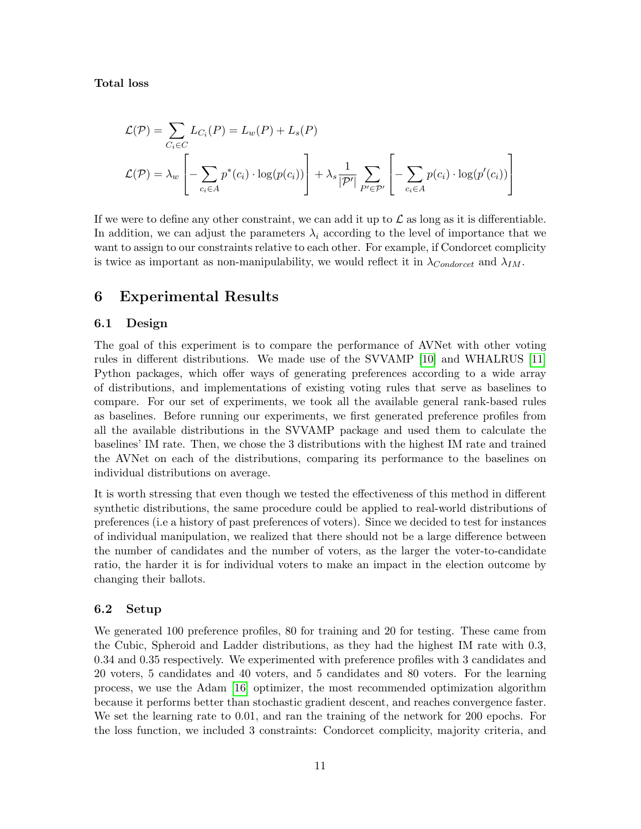### Total loss

$$
\mathcal{L}(\mathcal{P}) = \sum_{C_i \in C} L_{C_i}(P) = L_w(P) + L_s(P)
$$
  

$$
\mathcal{L}(\mathcal{P}) = \lambda_w \left[ -\sum_{c_i \in A} p^*(c_i) \cdot \log(p(c_i)) \right] + \lambda_s \frac{1}{|\mathcal{P}'|} \sum_{P' \in \mathcal{P}'} \left[ -\sum_{c_i \in A} p(c_i) \cdot \log(p'(c_i)) \right]
$$

If we were to define any other constraint, we can add it up to  $\mathcal L$  as long as it is differentiable. In addition, we can adjust the parameters  $\lambda_i$  according to the level of importance that we want to assign to our constraints relative to each other. For example, if Condorcet complicity is twice as important as non-manipulability, we would reflect it in  $\lambda_{Condorcet}$  and  $\lambda_{IM}$ .

# <span id="page-11-0"></span>6 Experimental Results

### 6.1 Design

The goal of this experiment is to compare the performance of AVNet with other voting rules in different distributions. We made use of the SVVAMP [\[10\]](#page-16-11) and WHALRUS [\[11\]](#page-16-12) Python packages, which offer ways of generating preferences according to a wide array of distributions, and implementations of existing voting rules that serve as baselines to compare. For our set of experiments, we took all the available general rank-based rules as baselines. Before running our experiments, we first generated preference profiles from all the available distributions in the SVVAMP package and used them to calculate the baselines' IM rate. Then, we chose the 3 distributions with the highest IM rate and trained the AVNet on each of the distributions, comparing its performance to the baselines on individual distributions on average.

It is worth stressing that even though we tested the effectiveness of this method in different synthetic distributions, the same procedure could be applied to real-world distributions of preferences (i.e a history of past preferences of voters). Since we decided to test for instances of individual manipulation, we realized that there should not be a large difference between the number of candidates and the number of voters, as the larger the voter-to-candidate ratio, the harder it is for individual voters to make an impact in the election outcome by changing their ballots.

### 6.2 Setup

We generated 100 preference profiles, 80 for training and 20 for testing. These came from the Cubic, Spheroid and Ladder distributions, as they had the highest IM rate with 0.3, 0.34 and 0.35 respectively. We experimented with preference profiles with 3 candidates and 20 voters, 5 candidates and 40 voters, and 5 candidates and 80 voters. For the learning process, we use the Adam [\[16\]](#page-17-12) optimizer, the most recommended optimization algorithm because it performs better than stochastic gradient descent, and reaches convergence faster. We set the learning rate to 0.01, and ran the training of the network for 200 epochs. For the loss function, we included 3 constraints: Condorcet complicity, majority criteria, and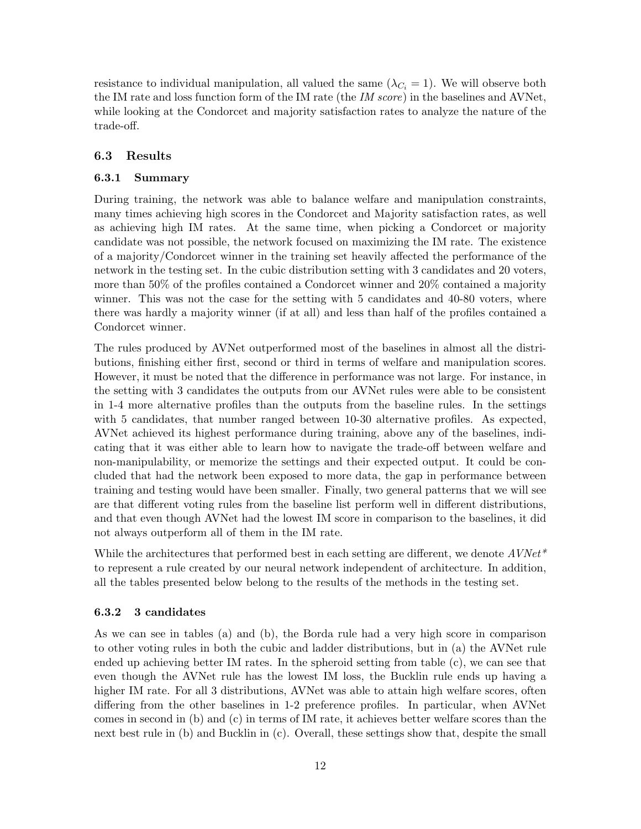resistance to individual manipulation, all valued the same  $(\lambda_{C_i} = 1)$ . We will observe both the IM rate and loss function form of the IM rate (the IM score) in the baselines and AVNet, while looking at the Condorcet and majority satisfaction rates to analyze the nature of the trade-off.

### 6.3 Results

### 6.3.1 Summary

During training, the network was able to balance welfare and manipulation constraints, many times achieving high scores in the Condorcet and Majority satisfaction rates, as well as achieving high IM rates. At the same time, when picking a Condorcet or majority candidate was not possible, the network focused on maximizing the IM rate. The existence of a majority/Condorcet winner in the training set heavily affected the performance of the network in the testing set. In the cubic distribution setting with 3 candidates and 20 voters, more than 50% of the profiles contained a Condorcet winner and 20% contained a majority winner. This was not the case for the setting with 5 candidates and 40-80 voters, where there was hardly a majority winner (if at all) and less than half of the profiles contained a Condorcet winner.

The rules produced by AVNet outperformed most of the baselines in almost all the distributions, finishing either first, second or third in terms of welfare and manipulation scores. However, it must be noted that the difference in performance was not large. For instance, in the setting with 3 candidates the outputs from our AVNet rules were able to be consistent in 1-4 more alternative profiles than the outputs from the baseline rules. In the settings with 5 candidates, that number ranged between 10-30 alternative profiles. As expected, AVNet achieved its highest performance during training, above any of the baselines, indicating that it was either able to learn how to navigate the trade-off between welfare and non-manipulability, or memorize the settings and their expected output. It could be concluded that had the network been exposed to more data, the gap in performance between training and testing would have been smaller. Finally, two general patterns that we will see are that different voting rules from the baseline list perform well in different distributions, and that even though AVNet had the lowest IM score in comparison to the baselines, it did not always outperform all of them in the IM rate.

While the architectures that performed best in each setting are different, we denote  $AVNet^*$ to represent a rule created by our neural network independent of architecture. In addition, all the tables presented below belong to the results of the methods in the testing set.

#### 6.3.2 3 candidates

As we can see in tables (a) and (b), the Borda rule had a very high score in comparison to other voting rules in both the cubic and ladder distributions, but in (a) the AVNet rule ended up achieving better IM rates. In the spheroid setting from table (c), we can see that even though the AVNet rule has the lowest IM loss, the Bucklin rule ends up having a higher IM rate. For all 3 distributions, AVNet was able to attain high welfare scores, often differing from the other baselines in 1-2 preference profiles. In particular, when AVNet comes in second in (b) and (c) in terms of IM rate, it achieves better welfare scores than the next best rule in (b) and Bucklin in (c). Overall, these settings show that, despite the small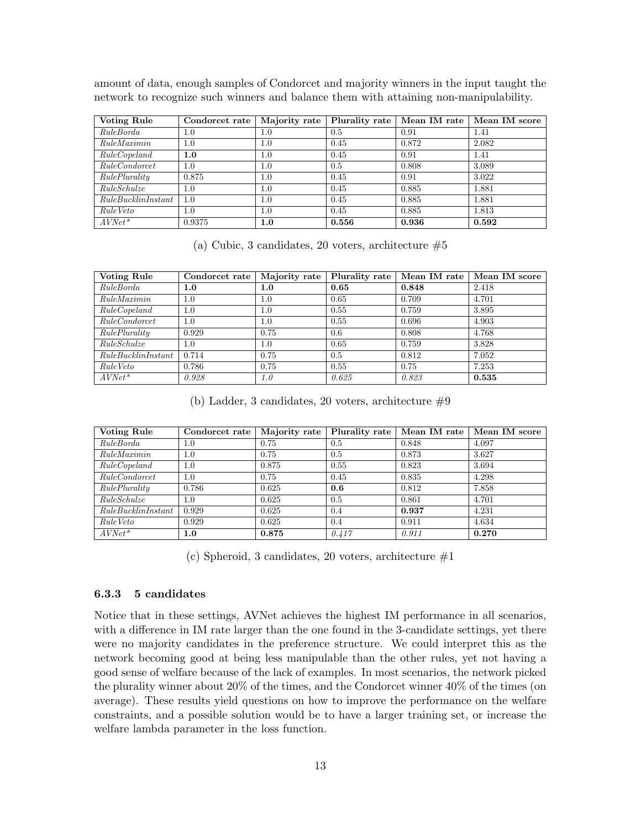| network to recognize such winners and palance them with attaining non-manipulability. |                                                                                |     |      |       |       |
|---------------------------------------------------------------------------------------|--------------------------------------------------------------------------------|-----|------|-------|-------|
| Voting Rule                                                                           | Condorcet rate   Majority rate   Plurality rate   Mean IM rate   Mean IM score |     |      |       |       |
| RuleBorda                                                                             | 1.0                                                                            | 1.0 | 0.5  | 0.91  | 1.41  |
| RuleMaximin                                                                           | $1.0\,$                                                                        | 1.0 | 0.45 | 0.872 | 2.082 |

 $RuleCopeland$  1.0 1.0 0.45 0.91 1.41 RuleCondorcet 1.0 1.0 0.5 0.808 3.089  $RulePlurality$   $\begin{array}{|l} 0.875 \end{array}$  1.0  $\begin{array}{|l} 0.45 \end{array}$  0.91  $\begin{array}{|l} 3.022 \end{array}$ RuleSchulze 1.0 1.0 0.45 0.885 1.881 RuleBucklinInstant 1.0 1.0 0.45 0.885 1.881

amount of data, enough samples of Condorcet and majority winners in the input taught the network to recognize such winners and balance them with attaining non-manipulability.

 $RuleVeto$  1.0 1.0 0.45 0.885 1.813 AVNet\* 0.9375 1.0 0.556 0.936 0.592

(a) Cubic, 3 candidates, 20 voters, architecture  $#5$ 

| <b>Voting Rule</b>  | Condorcet rate | Majority rate | Plurality rate | Mean IM rate | Mean IM score |
|---------------------|----------------|---------------|----------------|--------------|---------------|
| RuleBorda           | 1.0            | 1.0           | 0.65           | 0.848        | 2.418         |
| RuleMaximin         | 1.0            | 1.0           | 0.65           | 0.709        | 4.701         |
| RuleCopeland        | 1.0            | 1.0           | 0.55           | 0.759        | 3.895         |
| RuleCondorcet       | 1.0            | 1.0           | 0.55           | 0.696        | 4.903         |
| RulePlurality       | 0.929          | 0.75          | 0.6            | 0.808        | 4.768         |
| RuleSchulze         | $1.0\,$        | 1.0           | 0.65           | 0.759        | 3.828         |
| Rule BucklinInstant | 0.714          | 0.75          | 0.5            | 0.812        | 7.052         |
| Rule Veto           | 0.786          | 0.75          | 0.55           | 0.75         | 7.253         |
| $AVNet*$            | 0.928          | 1.0           | 0.625          | 0.823        | 0.535         |

(b) Ladder, 3 candidates, 20 voters, architecture  $\#9$ 

| <b>Voting Rule</b>  | Condorcet rate | Majority rate | Plurality rate | Mean IM rate | Mean IM score |
|---------------------|----------------|---------------|----------------|--------------|---------------|
| RuleBorda           | $1.0\,$        | 0.75          | 0.5            | 0.848        | 4.097         |
| RuleMaximin         | 1.0            | 0.75          | 0.5            | 0.873        | 3.627         |
| RuleCopeland        | 1.0            | 0.875         | 0.55           | 0.823        | 3.694         |
| RuleCondorcet       | $1.0\,$        | 0.75          | 0.45           | 0.835        | 4.298         |
| RulePlurality       | 0.786          | 0.625         | 0.6            | 0.812        | 7.858         |
| RuleSchulze         | $1.0\,$        | 0.625         | 0.5            | 0.861        | 4.701         |
| Rule BucklinInstant | 0.929          | 0.625         | 0.4            | 0.937        | 4.231         |
| Rule Veto           | 0.929          | 0.625         | 0.4            | 0.911        | 4.634         |
| $AVNet*$            | $1.0\,$        | 0.875         | 0.417          | 0.911        | 0.270         |

(c) Spheroid, 3 candidates, 20 voters, architecture  $#1$ 

### 6.3.3 5 candidates

Notice that in these settings, AVNet achieves the highest IM performance in all scenarios, with a difference in IM rate larger than the one found in the 3-candidate settings, yet there were no majority candidates in the preference structure. We could interpret this as the network becoming good at being less manipulable than the other rules, yet not having a good sense of welfare because of the lack of examples. In most scenarios, the network picked the plurality winner about 20% of the times, and the Condorcet winner 40% of the times (on average). These results yield questions on how to improve the performance on the welfare constraints, and a possible solution would be to have a larger training set, or increase the welfare lambda parameter in the loss function.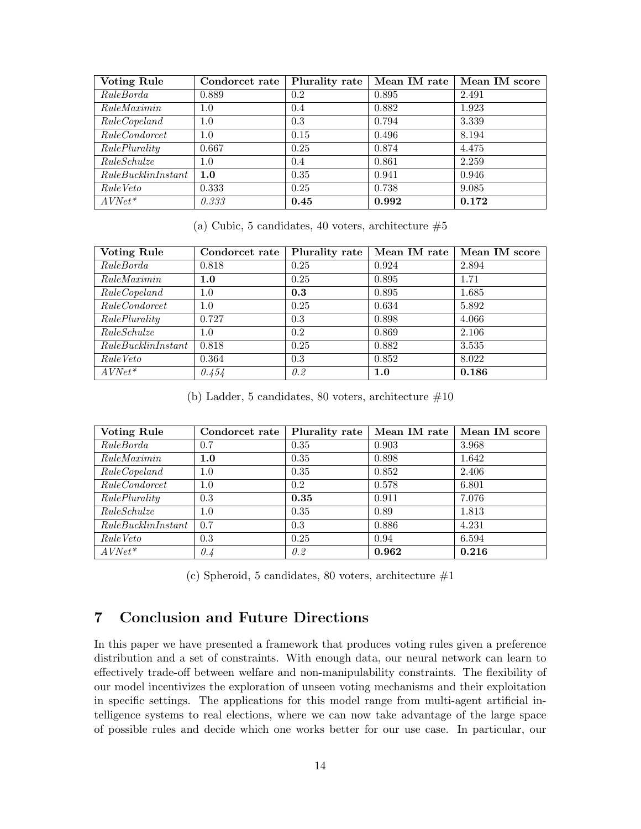| <b>Voting Rule</b>  | Condorcet rate | Plurality rate | Mean IM rate | Mean IM score |
|---------------------|----------------|----------------|--------------|---------------|
| RuleBorda           | 0.889          | 0.2            | 0.895        | 2.491         |
| RuleMaximin         | 1.0            | 0.4            | 0.882        | 1.923         |
| RuleCopeland        | 1.0            | 0.3            | 0.794        | 3.339         |
| RuleCondorcet       | 1.0            | 0.15           | 0.496        | 8.194         |
| RulePlurality       | 0.667          | 0.25           | 0.874        | 4.475         |
| RuleSchulze         | 1.0            | 0.4            | 0.861        | 2.259         |
| Rule BucklinInstant | 1.0            | 0.35           | 0.941        | 0.946         |
| Rule Veto           | 0.333          | 0.25           | 0.738        | 9.085         |
| $AVNet*$            | 0.333          | 0.45           | 0.992        | 0.172         |

(a) Cubic, 5 candidates, 40 voters, architecture  $#5$ 

| <b>Voting Rule</b>  | Condorcet rate | Plurality rate | Mean IM rate | Mean IM score |
|---------------------|----------------|----------------|--------------|---------------|
| RuleBorda           | 0.818          | 0.25           | 0.924        | 2.894         |
| RuleMaximin         | 1.0            | 0.25           | 0.895        | 1.71          |
| RuleCopeland        | 1.0            | 0.3            | 0.895        | 1.685         |
| RuleCondorrect      | 1.0            | 0.25           | 0.634        | 5.892         |
| RulePlurality       | 0.727          | 0.3            | 0.898        | 4.066         |
| RuleSchulze         | 1.0            | 0.2            | 0.869        | 2.106         |
| Rule BucklinInstant | 0.818          | 0.25           | 0.882        | 3.535         |
| Rule Veto           | 0.364          | 0.3            | 0.852        | 8.022         |
| $AVNet^*$           | 0.454          | 0.2            | 1.0          | 0.186         |

(b) Ladder, 5 candidates, 80 voters, architecture  $\#10$ 

| <b>Voting Rule</b>  | Condorcet rate | Plurality rate | Mean IM rate | Mean IM score |
|---------------------|----------------|----------------|--------------|---------------|
| RuleBorda           | 0.7            | 0.35           | 0.903        | 3.968         |
| RuleMaximin         | 1.0            | 0.35           | 0.898        | 1.642         |
| RuleCopeland        | 1.0            | 0.35           | 0.852        | 2.406         |
| RuleCondorcet       | 1.0            | 0.2            | 0.578        | 6.801         |
| RulePlurality       | 0.3            | 0.35           | 0.911        | 7.076         |
| RuleSchulze         | 1.0            | 0.35           | 0.89         | 1.813         |
| Rule BucklinInstant | 0.7            | 0.3            | 0.886        | 4.231         |
| Rule Veto           | 0.3            | 0.25           | 0.94         | 6.594         |
| $AVNet*$            | 0.4            | 0.2            | 0.962        | 0.216         |

(c) Spheroid, 5 candidates, 80 voters, architecture  $#1$ 

# <span id="page-14-0"></span>7 Conclusion and Future Directions

In this paper we have presented a framework that produces voting rules given a preference distribution and a set of constraints. With enough data, our neural network can learn to effectively trade-off between welfare and non-manipulability constraints. The flexibility of our model incentivizes the exploration of unseen voting mechanisms and their exploitation in specific settings. The applications for this model range from multi-agent artificial intelligence systems to real elections, where we can now take advantage of the large space of possible rules and decide which one works better for our use case. In particular, our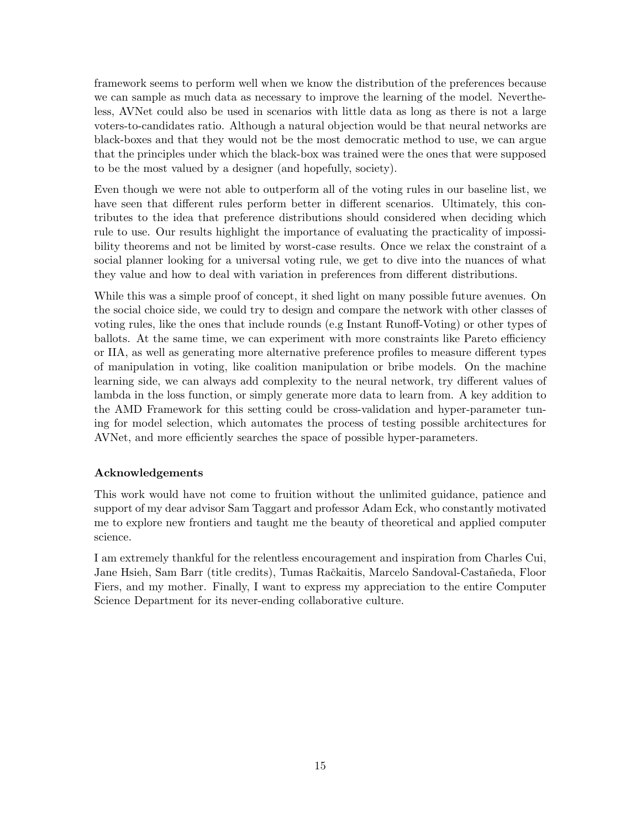framework seems to perform well when we know the distribution of the preferences because we can sample as much data as necessary to improve the learning of the model. Nevertheless, AVNet could also be used in scenarios with little data as long as there is not a large voters-to-candidates ratio. Although a natural objection would be that neural networks are black-boxes and that they would not be the most democratic method to use, we can argue that the principles under which the black-box was trained were the ones that were supposed to be the most valued by a designer (and hopefully, society).

Even though we were not able to outperform all of the voting rules in our baseline list, we have seen that different rules perform better in different scenarios. Ultimately, this contributes to the idea that preference distributions should considered when deciding which rule to use. Our results highlight the importance of evaluating the practicality of impossibility theorems and not be limited by worst-case results. Once we relax the constraint of a social planner looking for a universal voting rule, we get to dive into the nuances of what they value and how to deal with variation in preferences from different distributions.

While this was a simple proof of concept, it shed light on many possible future avenues. On the social choice side, we could try to design and compare the network with other classes of voting rules, like the ones that include rounds (e.g Instant Runoff-Voting) or other types of ballots. At the same time, we can experiment with more constraints like Pareto efficiency or IIA, as well as generating more alternative preference profiles to measure different types of manipulation in voting, like coalition manipulation or bribe models. On the machine learning side, we can always add complexity to the neural network, try different values of lambda in the loss function, or simply generate more data to learn from. A key addition to the AMD Framework for this setting could be cross-validation and hyper-parameter tuning for model selection, which automates the process of testing possible architectures for AVNet, and more efficiently searches the space of possible hyper-parameters.

#### Acknowledgements

This work would have not come to fruition without the unlimited guidance, patience and support of my dear advisor Sam Taggart and professor Adam Eck, who constantly motivated me to explore new frontiers and taught me the beauty of theoretical and applied computer science.

I am extremely thankful for the relentless encouragement and inspiration from Charles Cui, Jane Hsieh, Sam Barr (title credits), Tumas Račkaitis, Marcelo Sandoval-Castañeda, Floor Fiers, and my mother. Finally, I want to express my appreciation to the entire Computer Science Department for its never-ending collaborative culture.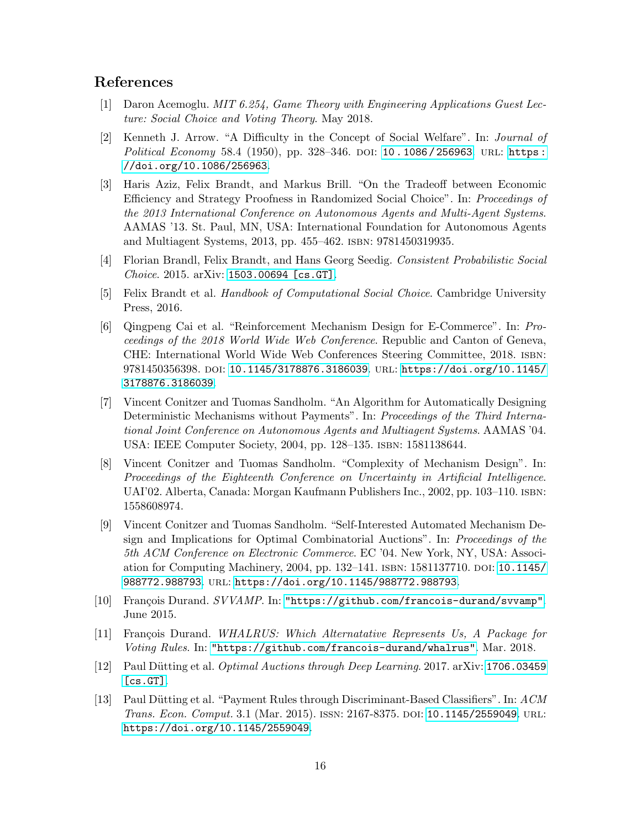# References

- <span id="page-16-1"></span>[1] Daron Acemoglu. MIT 6.254, Game Theory with Engineering Applications Guest Lecture: Social Choice and Voting Theory. May 2018.
- <span id="page-16-0"></span>[2] Kenneth J. Arrow. "A Difficulty in the Concept of Social Welfare". In: Journal of Political Economy 58.4 (1950), pp. 328–346. DOI: 10.1086/256963. URL: [https :](https://doi.org/10.1086/256963) [//doi.org/10.1086/256963](https://doi.org/10.1086/256963).
- <span id="page-16-3"></span>[3] Haris Aziz, Felix Brandt, and Markus Brill. "On the Tradeoff between Economic Efficiency and Strategy Proofness in Randomized Social Choice". In: Proceedings of the 2013 International Conference on Autonomous Agents and Multi-Agent Systems. AAMAS '13. St. Paul, MN, USA: International Foundation for Autonomous Agents and Multiagent Systems, 2013, pp. 455–462. isbn: 9781450319935.
- <span id="page-16-2"></span>[4] Florian Brandl, Felix Brandt, and Hans Georg Seedig. Consistent Probabilistic Social Choice. 2015. arXiv: [1503.00694 \[cs.GT\]](https://arxiv.org/abs/1503.00694).
- <span id="page-16-10"></span>[5] Felix Brandt et al. Handbook of Computational Social Choice. Cambridge University Press, 2016.
- <span id="page-16-9"></span>[6] Qingpeng Cai et al. "Reinforcement Mechanism Design for E-Commerce". In: Proceedings of the 2018 World Wide Web Conference. Republic and Canton of Geneva, CHE: International World Wide Web Conferences Steering Committee, 2018. isbn: 9781450356398. doi: [10.1145/3178876.3186039](https://doi.org/10.1145/3178876.3186039). url: [https://doi.org/10.1145/](https://doi.org/10.1145/3178876.3186039) [3178876.3186039](https://doi.org/10.1145/3178876.3186039).
- <span id="page-16-6"></span>[7] Vincent Conitzer and Tuomas Sandholm. "An Algorithm for Automatically Designing Deterministic Mechanisms without Payments". In: Proceedings of the Third International Joint Conference on Autonomous Agents and Multiagent Systems. AAMAS '04. USA: IEEE Computer Society, 2004, pp. 128–135. isbn: 1581138644.
- <span id="page-16-4"></span>[8] Vincent Conitzer and Tuomas Sandholm. "Complexity of Mechanism Design". In: Proceedings of the Eighteenth Conference on Uncertainty in Artificial Intelligence. UAI'02. Alberta, Canada: Morgan Kaufmann Publishers Inc., 2002, pp. 103–110. isbn: 1558608974.
- <span id="page-16-5"></span>[9] Vincent Conitzer and Tuomas Sandholm. "Self-Interested Automated Mechanism Design and Implications for Optimal Combinatorial Auctions". In: Proceedings of the 5th ACM Conference on Electronic Commerce. EC '04. New York, NY, USA: Association for Computing Machinery, 2004, pp. 132–141. isbn: 1581137710. doi: [10.1145/](https://doi.org/10.1145/988772.988793) [988772.988793](https://doi.org/10.1145/988772.988793). url: <https://doi.org/10.1145/988772.988793>.
- <span id="page-16-11"></span>[10] François Durand. SVVAMP. In: <"https://github.com/francois-durand/svvamp">. June 2015.
- <span id="page-16-12"></span>[11] François Durand. WHALRUS: Which Alternatative Represents Us, A Package for Voting Rules. In: <"https://github.com/francois-durand/whalrus">. Mar. 2018.
- <span id="page-16-8"></span>[12] Paul Dütting et al. *Optimal Auctions through Deep Learning*. 2017. arXiv: [1706.03459](https://arxiv.org/abs/1706.03459) [\[cs.GT\]](https://arxiv.org/abs/1706.03459).
- <span id="page-16-7"></span>[13] Paul Dütting et al. "Payment Rules through Discriminant-Based Classifiers". In: ACM Trans. Econ. Comput. 3.1 (Mar. 2015). issn: 2167-8375. doi: [10.1145/2559049](https://doi.org/10.1145/2559049). url: <https://doi.org/10.1145/2559049>.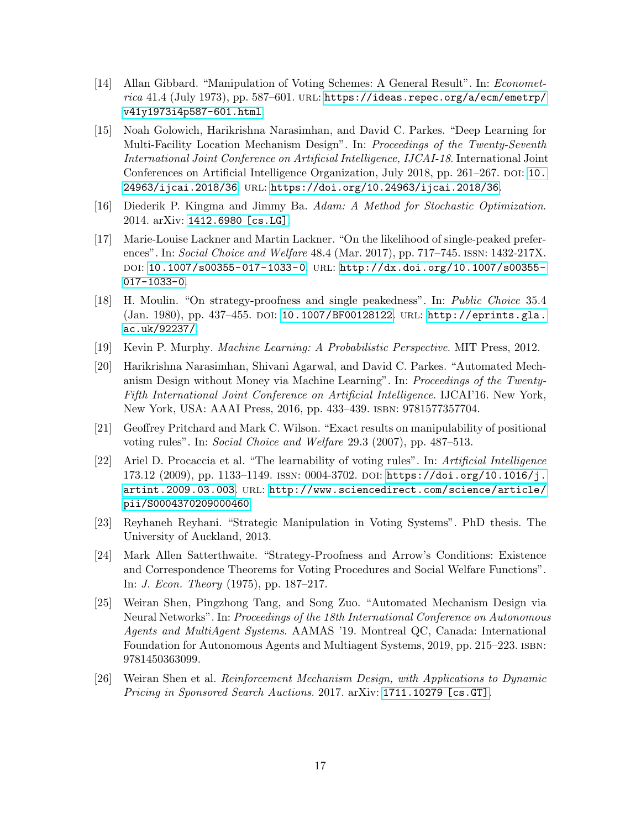- <span id="page-17-0"></span>[14] Allan Gibbard. "Manipulation of Voting Schemes: A General Result". In: Econometrica 41.4 (July 1973), pp. 587-601. URL: [https://ideas.repec.org/a/ecm/emetrp/](https://ideas.repec.org/a/ecm/emetrp/v41y1973i4p587-601.html) [v41y1973i4p587-601.html](https://ideas.repec.org/a/ecm/emetrp/v41y1973i4p587-601.html).
- <span id="page-17-9"></span>[15] Noah Golowich, Harikrishna Narasimhan, and David C. Parkes. "Deep Learning for Multi-Facility Location Mechanism Design". In: Proceedings of the Twenty-Seventh International Joint Conference on Artificial Intelligence, IJCAI-18. International Joint Conferences on Artificial Intelligence Organization, July 2018, pp. 261–267. DOI: [10.](https://doi.org/10.24963/ijcai.2018/36) [24963/ijcai.2018/36](https://doi.org/10.24963/ijcai.2018/36). url: <https://doi.org/10.24963/ijcai.2018/36>.
- <span id="page-17-12"></span>[16] Diederik P. Kingma and Jimmy Ba. Adam: A Method for Stochastic Optimization. 2014. arXiv: [1412.6980 \[cs.LG\]](https://arxiv.org/abs/1412.6980).
- <span id="page-17-4"></span>[17] Marie-Louise Lackner and Martin Lackner. "On the likelihood of single-peaked preferences". In: Social Choice and Welfare 48.4 (Mar. 2017), pp. 717–745. ISSN: 1432-217X. doi: [10.1007/s00355-017-1033-0](https://doi.org/10.1007/s00355-017-1033-0). url: [http://dx.doi.org/10.1007/s00355-](http://dx.doi.org/10.1007/s00355-017-1033-0) [017-1033-0](http://dx.doi.org/10.1007/s00355-017-1033-0).
- <span id="page-17-3"></span>[18] H. Moulin. "On strategy-proofness and single peakedness". In: Public Choice 35.4 (Jan. 1980), pp. 437–455. doi: [10.1007/BF00128122](https://doi.org/10.1007/BF00128122). url: [http://eprints.gla.](http://eprints.gla.ac.uk/92237/) [ac.uk/92237/](http://eprints.gla.ac.uk/92237/).
- <span id="page-17-11"></span>[19] Kevin P. Murphy. Machine Learning: A Probabilistic Perspective. MIT Press, 2012.
- <span id="page-17-6"></span>[20] Harikrishna Narasimhan, Shivani Agarwal, and David C. Parkes. "Automated Mechanism Design without Money via Machine Learning". In: Proceedings of the Twenty-Fifth International Joint Conference on Artificial Intelligence. IJCAI'16. New York, New York, USA: AAAI Press, 2016, pp. 433–439. isbn: 9781577357704.
- <span id="page-17-2"></span>[21] Geoffrey Pritchard and Mark C. Wilson. "Exact results on manipulability of positional voting rules". In: Social Choice and Welfare 29.3 (2007), pp. 487–513.
- <span id="page-17-5"></span>[22] Ariel D. Procaccia et al. "The learnability of voting rules". In: Artificial Intelligence 173.12 (2009), pp. 1133–1149. ISSN: 0004-3702. DOI: [https://doi.org/10.1016/j.](https://doi.org/https://doi.org/10.1016/j.artint.2009.03.003) [artint.2009.03.003](https://doi.org/https://doi.org/10.1016/j.artint.2009.03.003). url: [http://www.sciencedirect.com/science/article/](http://www.sciencedirect.com/science/article/pii/S0004370209000460) [pii/S0004370209000460](http://www.sciencedirect.com/science/article/pii/S0004370209000460).
- <span id="page-17-10"></span>[23] Reyhaneh Reyhani. "Strategic Manipulation in Voting Systems". PhD thesis. The University of Auckland, 2013.
- <span id="page-17-1"></span>[24] Mark Allen Satterthwaite. "Strategy-Proofness and Arrow's Conditions: Existence and Correspondence Theorems for Voting Procedures and Social Welfare Functions". In: J. Econ. Theory (1975), pp. 187–217.
- <span id="page-17-7"></span>[25] Weiran Shen, Pingzhong Tang, and Song Zuo. "Automated Mechanism Design via Neural Networks". In: Proceedings of the 18th International Conference on Autonomous Agents and MultiAgent Systems. AAMAS '19. Montreal QC, Canada: International Foundation for Autonomous Agents and Multiagent Systems, 2019, pp. 215–223. isbn: 9781450363099.
- <span id="page-17-8"></span>[26] Weiran Shen et al. Reinforcement Mechanism Design, with Applications to Dynamic Pricing in Sponsored Search Auctions. 2017. arXiv: [1711.10279 \[cs.GT\]](https://arxiv.org/abs/1711.10279).